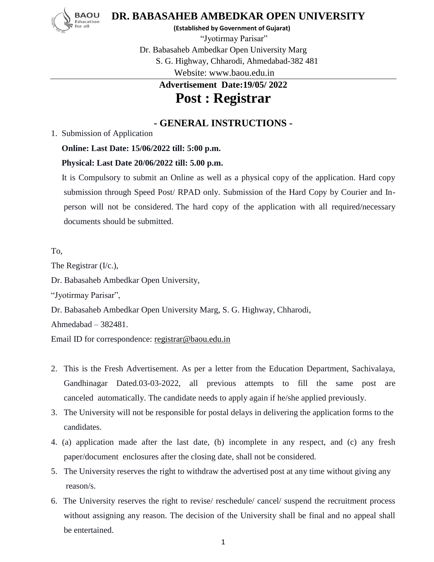

**DR. BABASAHEB AMBEDKAR OPEN UNIVERSITY**

 **(Established by Government of Gujarat)**

"Jyotirmay Parisar" Dr. Babasaheb Ambedkar Open University Marg S. G. Highway, Chharodi, Ahmedabad-382 481 Website: www.baou.edu.in

## **Advertisement Date:19/05/ 2022 Post : Registrar**

## **- GENERAL INSTRUCTIONS -**

1. Submission of Application

## **Online: Last Date: 15/06/2022 till: 5:00 p.m.**

## **Physical: Last Date 20/06/2022 till: 5.00 p.m.**

 It is Compulsory to submit an Online as well as a physical copy of the application. Hard copy submission through Speed Post/ RPAD only. Submission of the Hard Copy by Courier and Inperson will not be considered. The hard copy of the application with all required/necessary documents should be submitted.

To,

The Registrar (I/c.),

Dr. Babasaheb Ambedkar Open University,

"Jyotirmay Parisar",

Dr. Babasaheb Ambedkar Open University Marg, S. G. Highway, Chharodi,

Ahmedabad – 382481.

Email ID for correspondence: [registrar@baou.edu.in](mailto:registrar@baou.edu.in) 

- 2. This is the Fresh Advertisement. As per a letter from the Education Department, Sachivalaya, Gandhinagar Dated.03-03-2022, all previous attempts to fill the same post are canceled automatically. The candidate needs to apply again if he/she applied previously.
- 3. The University will not be responsible for postal delays in delivering the application forms to the candidates.
- 4. (a) application made after the last date, (b) incomplete in any respect, and (c) any fresh paper/document enclosures after the closing date, shall not be considered.
- 5. The University reserves the right to withdraw the advertised post at any time without giving any reason/s.
- 6. The University reserves the right to revise/ reschedule/ cancel/ suspend the recruitment process without assigning any reason. The decision of the University shall be final and no appeal shall be entertained.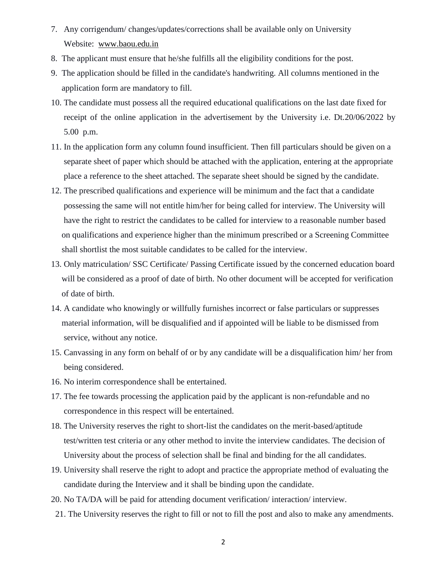- 7. Any corrigendum/ changes/updates/corrections shall be available only on University Website: [www.baou.edu.in](http://www.baou.edu.in/)
- 8. The applicant must ensure that he/she fulfills all the eligibility conditions for the post.
- 9. The application should be filled in the candidate's handwriting. All columns mentioned in the application form are mandatory to fill.
- 10. The candidate must possess all the required educational qualifications on the last date fixed for receipt of the online application in the advertisement by the University i.e. Dt.20/06/2022 by 5.00 p.m.
- 11. In the application form any column found insufficient. Then fill particulars should be given on a separate sheet of paper which should be attached with the application, entering at the appropriate place a reference to the sheet attached. The separate sheet should be signed by the candidate.
- 12. The prescribed qualifications and experience will be minimum and the fact that a candidate possessing the same will not entitle him/her for being called for interview. The University will have the right to restrict the candidates to be called for interview to a reasonable number based on qualifications and experience higher than the minimum prescribed or a Screening Committee shall shortlist the most suitable candidates to be called for the interview.
- 13. Only matriculation/ SSC Certificate/ Passing Certificate issued by the concerned education board will be considered as a proof of date of birth. No other document will be accepted for verification of date of birth.
- 14. A candidate who knowingly or willfully furnishes incorrect or false particulars or suppresses material information, will be disqualified and if appointed will be liable to be dismissed from service, without any notice.
- 15. Canvassing in any form on behalf of or by any candidate will be a disqualification him/ her from being considered.
- 16. No interim correspondence shall be entertained.
- 17. The fee towards processing the application paid by the applicant is non-refundable and no correspondence in this respect will be entertained.
- 18. The University reserves the right to short-list the candidates on the merit-based/aptitude test/written test criteria or any other method to invite the interview candidates. The decision of University about the process of selection shall be final and binding for the all candidates.
- 19. University shall reserve the right to adopt and practice the appropriate method of evaluating the candidate during the Interview and it shall be binding upon the candidate.
- 20. No TA/DA will be paid for attending document verification/ interaction/ interview.
- 21. The University reserves the right to fill or not to fill the post and also to make any amendments.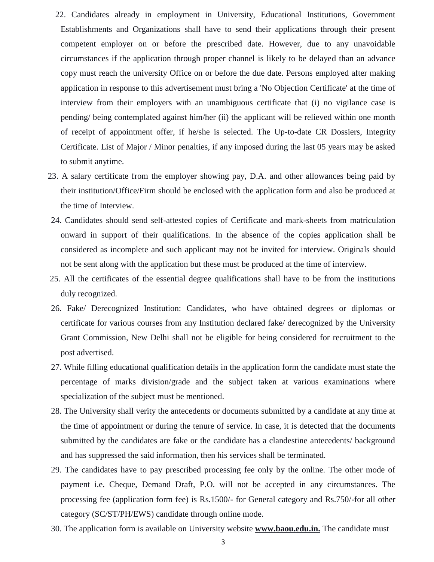- 22. Candidates already in employment in University, Educational Institutions, Government Establishments and Organizations shall have to send their applications through their present competent employer on or before the prescribed date. However, due to any unavoidable circumstances if the application through proper channel is likely to be delayed than an advance copy must reach the university Office on or before the due date. Persons employed after making application in response to this advertisement must bring a 'No Objection Certificate' at the time of interview from their employers with an unambiguous certificate that (i) no vigilance case is pending/ being contemplated against him/her (ii) the applicant will be relieved within one month of receipt of appointment offer, if he/she is selected. The Up-to-date CR Dossiers, Integrity Certificate. List of Major / Minor penalties, if any imposed during the last 05 years may be asked to submit anytime.
- 23. A salary certificate from the employer showing pay, D.A. and other allowances being paid by their institution/Office/Firm should be enclosed with the application form and also be produced at the time of Interview.
- 24. Candidates should send self-attested copies of Certificate and mark-sheets from matriculation onward in support of their qualifications. In the absence of the copies application shall be considered as incomplete and such applicant may not be invited for interview. Originals should not be sent along with the application but these must be produced at the time of interview.
- 25. All the certificates of the essential degree qualifications shall have to be from the institutions duly recognized.
- 26. Fake/ Derecognized Institution: Candidates, who have obtained degrees or diplomas or certificate for various courses from any Institution declared fake/ derecognized by the University Grant Commission, New Delhi shall not be eligible for being considered for recruitment to the post advertised.
- 27. While filling educational qualification details in the application form the candidate must state the percentage of marks division/grade and the subject taken at various examinations where specialization of the subject must be mentioned.
- 28. The University shall verity the antecedents or documents submitted by a candidate at any time at the time of appointment or during the tenure of service. In case, it is detected that the documents submitted by the candidates are fake or the candidate has a clandestine antecedents/ background and has suppressed the said information, then his services shall be terminated.
- 29. The candidates have to pay prescribed processing fee only by the online. The other mode of payment i.e. Cheque, Demand Draft, P.O. will not be accepted in any circumstances. The processing fee (application form fee) is Rs.1500/- for General category and Rs.750/-for all other category (SC/ST/PH/EWS) candidate through online mode.
- 30. The application form is available on University website **www.baou.edu.in.** The candidate must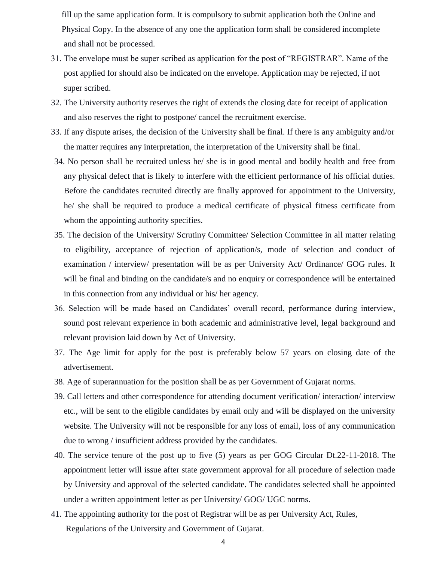fill up the same application form. It is compulsory to submit application both the Online and Physical Copy. In the absence of any one the application form shall be considered incomplete and shall not be processed.

- 31. The envelope must be super scribed as application for the post of "REGISTRAR". Name of the post applied for should also be indicated on the envelope. Application may be rejected, if not super scribed.
- 32. The University authority reserves the right of extends the closing date for receipt of application and also reserves the right to postpone/ cancel the recruitment exercise.
- 33. If any dispute arises, the decision of the University shall be final. If there is any ambiguity and/or the matter requires any interpretation, the interpretation of the University shall be final.
- 34. No person shall be recruited unless he/ she is in good mental and bodily health and free from any physical defect that is likely to interfere with the efficient performance of his official duties. Before the candidates recruited directly are finally approved for appointment to the University, he/ she shall be required to produce a medical certificate of physical fitness certificate from whom the appointing authority specifies.
- 35. The decision of the University/ Scrutiny Committee/ Selection Committee in all matter relating to eligibility, acceptance of rejection of application/s, mode of selection and conduct of examination / interview/ presentation will be as per University Act/ Ordinance/ GOG rules. It will be final and binding on the candidate/s and no enquiry or correspondence will be entertained in this connection from any individual or his/ her agency.
- 36. Selection will be made based on Candidates' overall record, performance during interview, sound post relevant experience in both academic and administrative level, legal background and relevant provision laid down by Act of University.
- 37. The Age limit for apply for the post is preferably below 57 years on closing date of the advertisement.
- 38. Age of superannuation for the position shall be as per Government of Gujarat norms.
- 39. Call letters and other correspondence for attending document verification/ interaction/ interview etc., will be sent to the eligible candidates by email only and will be displayed on the university website. The University will not be responsible for any loss of email, loss of any communication due to wrong / insufficient address provided by the candidates.
- 40. The service tenure of the post up to five (5) years as per GOG Circular Dt.22-11-2018. The appointment letter will issue after state government approval for all procedure of selection made by University and approval of the selected candidate. The candidates selected shall be appointed under a written appointment letter as per University/ GOG/ UGC norms.
- 41. The appointing authority for the post of Registrar will be as per University Act, Rules, Regulations of the University and Government of Gujarat.